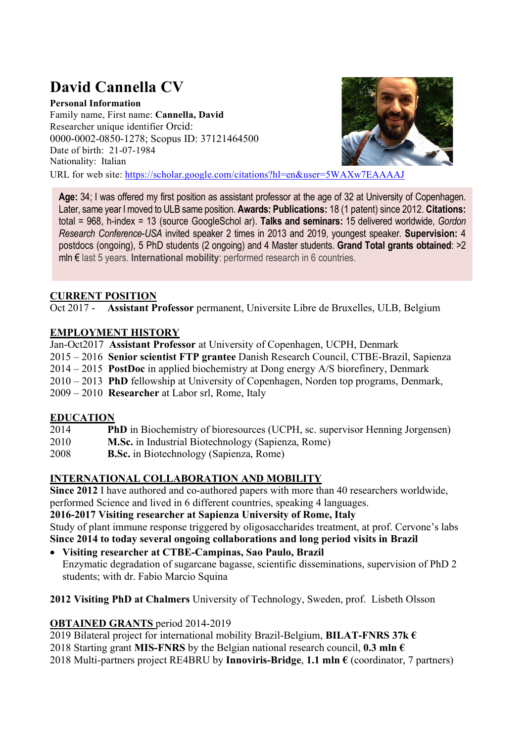# David Cannella CV

Personal Information Family name, First name: Cannella, David Researcher unique identifier Orcid: 0000-0002-0850-1278; Scopus ID: 37121464500 Date of birth: 21-07-1984 Nationality: Italian



URL for web site: https://scholar.google.com/citations?hl=en&user=5WAXw7EAAAAJ

Age: 34; I was offered my first position as assistant professor at the age of 32 at University of Copenhagen. Later, same year I moved to ULB same position. Awards: Publications: 18 (1 patent) since 2012. Citations: total = 968, h-index = 13 (source GoogleSchol ar). Talks and seminars: 15 delivered worldwide, Gordon Research Conference-USA invited speaker 2 times in 2013 and 2019, youngest speaker. Supervision: 4 postdocs (ongoing), 5 PhD students (2 ongoing) and 4 Master students. Grand Total grants obtained: >2 mln € last 5 years. International mobility: performed research in 6 countries.

# CURRENT POSITION

Oct 2017 - Assistant Professor permanent, Universite Libre de Bruxelles, ULB, Belgium

# EMPLOYMENT HISTORY

Jan-Oct2017 Assistant Professor at University of Copenhagen, UCPH, Denmark 2015 – 2016 Senior scientist FTP grantee Danish Research Council, CTBE-Brazil, Sapienza  $2014 - 2015$  **PostDoc** in applied biochemistry at Dong energy A/S biorefinery, Denmark 2010 – 2013 PhD fellowship at University of Copenhagen, Norden top programs, Denmark, 2009 – 2010 Researcher at Labor srl, Rome, Italy

# EDUCATION

- 2014 PhD in Biochemistry of bioresources (UCPH, sc. supervisor Henning Jorgensen)
- 2010 M.Sc. in Industrial Biotechnology (Sapienza, Rome)
- 2008 B.Sc. in Biotechnology (Sapienza, Rome)

# INTERNATIONAL COLLABORATION AND MOBILITY

Since 2012 I have authored and co-authored papers with more than 40 researchers worldwide, performed Science and lived in 6 different countries, speaking 4 languages.

2016-2017 Visiting researcher at Sapienza University of Rome, Italy

Study of plant immune response triggered by oligosaccharides treatment, at prof. Cervone's labs Since 2014 to today several ongoing collaborations and long period visits in Brazil

- Visiting researcher at CTBE-Campinas, Sao Paulo, Brazil Enzymatic degradation of sugarcane bagasse, scientific disseminations, supervision of PhD 2 students; with dr. Fabio Marcio Squina
- 2012 Visiting PhD at Chalmers University of Technology, Sweden, prof. Lisbeth Olsson

# OBTAINED GRANTS period 2014-2019

2019 Bilateral project for international mobility Brazil-Belgium, BILAT-FNRS 37k  $\epsilon$ 

- 2018 Starting grant MIS-FNRS by the Belgian national research council, 0.3 mln  $\epsilon$
- 2018 Multi-partners project RE4BRU by Innoviris-Bridge, 1.1 mln  $\epsilon$  (coordinator, 7 partners)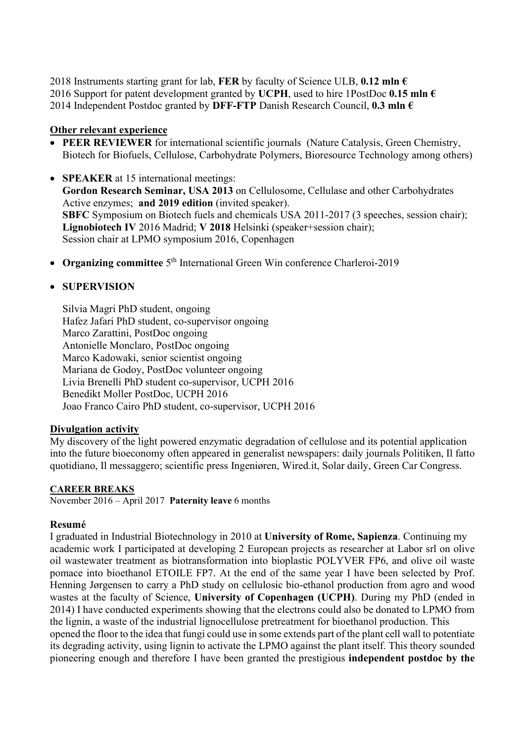2018 Instruments starting grant for lab, FER by faculty of Science ULB, 0.12 mln  $\epsilon$ 2016 Support for patent development granted by UCPH, used to hire 1PostDoc 0.15 mln  $\epsilon$ 2014 Independent Postdoc granted by DFF-FTP Danish Research Council, 0.3 mln  $\epsilon$ 

## Other relevant experience

- PEER REVIEWER for international scientific journals (Nature Catalysis, Green Chemistry, Biotech for Biofuels, Cellulose, Carbohydrate Polymers, Bioresource Technology among others)
- **SPEAKER** at 15 international meetings: Gordon Research Seminar, USA 2013 on Cellulosome, Cellulase and other Carbohydrates Active enzymes; and 2019 edition (invited speaker). SBFC Symposium on Biotech fuels and chemicals USA 2011-2017 (3 speeches, session chair); Lignobiotech IV 2016 Madrid; V 2018 Helsinki (speaker+session chair); Session chair at LPMO symposium 2016, Copenhagen
- Organizing committee  $5<sup>th</sup>$  International Green Win conference Charleroi-2019

## • SUPERVISION

Silvia Magri PhD student, ongoing Hafez Jafari PhD student, co-supervisor ongoing Marco Zarattini, PostDoc ongoing Antonielle Monclaro, PostDoc ongoing Marco Kadowaki, senior scientist ongoing Mariana de Godoy, PostDoc volunteer ongoing Livia Brenelli PhD student co-supervisor, UCPH 2016 Benedikt Moller PostDoc, UCPH 2016 Joao Franco Cairo PhD student, co-supervisor, UCPH 2016

#### Divulgation activity

My discovery of the light powered enzymatic degradation of cellulose and its potential application into the future bioeconomy often appeared in generalist newspapers: daily journals Politiken, Il fatto quotidiano, Il messaggero; scientific press Ingeniøren, Wired.it, Solar daily, Green Car Congress.

#### CAREER BREAKS

November 2016 – April 2017 Paternity leave 6 months

#### Resumé

I graduated in Industrial Biotechnology in 2010 at University of Rome, Sapienza. Continuing my academic work I participated at developing 2 European projects as researcher at Labor srl on olive oil wastewater treatment as biotransformation into bioplastic POLYVER FP6, and olive oil waste pomace into bioethanol ETOILE FP7. At the end of the same year I have been selected by Prof. Henning Jørgensen to carry a PhD study on cellulosic bio-ethanol production from agro and wood wastes at the faculty of Science, University of Copenhagen (UCPH). During my PhD (ended in 2014) I have conducted experiments showing that the electrons could also be donated to LPMO from the lignin, a waste of the industrial lignocellulose pretreatment for bioethanol production. This opened the floor to the idea that fungi could use in some extends part of the plant cell wall to potentiate its degrading activity, using lignin to activate the LPMO against the plant itself. This theory sounded pioneering enough and therefore I have been granted the prestigious independent postdoc by the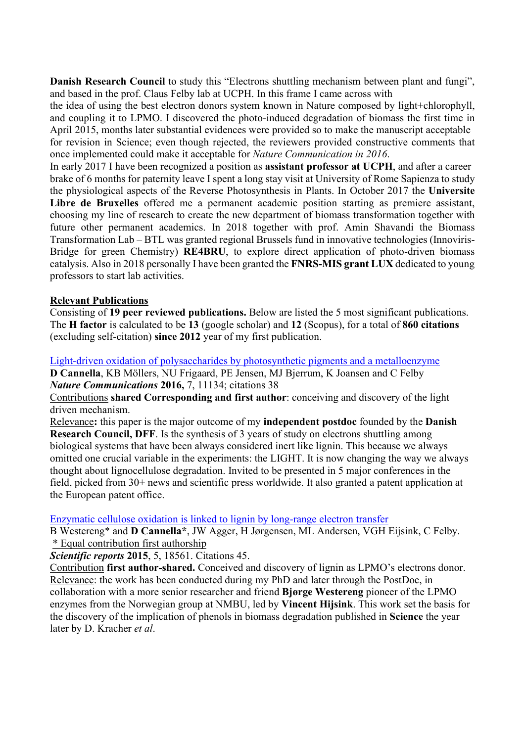Danish Research Council to study this "Electrons shuttling mechanism between plant and fungi", and based in the prof. Claus Felby lab at UCPH. In this frame I came across with

the idea of using the best electron donors system known in Nature composed by light+chlorophyll, and coupling it to LPMO. I discovered the photo-induced degradation of biomass the first time in April 2015, months later substantial evidences were provided so to make the manuscript acceptable for revision in Science; even though rejected, the reviewers provided constructive comments that once implemented could make it acceptable for Nature Communication in 2016.

In early 2017 I have been recognized a position as **assistant professor at UCPH**, and after a career brake of 6 months for paternity leave I spent a long stay visit at University of Rome Sapienza to study the physiological aspects of the Reverse Photosynthesis in Plants. In October 2017 the Universite Libre de Bruxelles offered me a permanent academic position starting as premiere assistant, choosing my line of research to create the new department of biomass transformation together with future other permanent academics. In 2018 together with prof. Amin Shavandi the Biomass Transformation Lab – BTL was granted regional Brussels fund in innovative technologies (Innoviris-Bridge for green Chemistry) RE4BRU, to explore direct application of photo-driven biomass catalysis. Also in 2018 personally I have been granted the FNRS-MIS grant LUX dedicated to young professors to start lab activities.

## Relevant Publications

Consisting of 19 peer reviewed publications. Below are listed the 5 most significant publications. The H factor is calculated to be 13 (google scholar) and 12 (Scopus), for a total of 860 citations (excluding self-citation) since 2012 year of my first publication.

Light-driven oxidation of polysaccharides by photosynthetic pigments and a metalloenzyme D Cannella, KB Möllers, NU Frigaard, PE Jensen, MJ Bjerrum, K Joansen and C Felby Nature Communications 2016, 7, 11134; citations 38

Contributions shared Corresponding and first author: conceiving and discovery of the light driven mechanism.

Relevance: this paper is the major outcome of my independent postdoc founded by the Danish Research Council, DFF. Is the synthesis of 3 years of study on electrons shuttling among biological systems that have been always considered inert like lignin. This because we always omitted one crucial variable in the experiments: the LIGHT. It is now changing the way we always thought about lignocellulose degradation. Invited to be presented in 5 major conferences in the field, picked from 30+ news and scientific press worldwide. It also granted a patent application at the European patent office.

#### Enzymatic cellulose oxidation is linked to lignin by long-range electron transfer

B Westereng\* and D Cannella\*, JW Agger, H Jørgensen, ML Andersen, VGH Eijsink, C Felby. \* Equal contribution first authorship

Scientific reports 2015, 5, 18561. Citations 45.

Contribution first author-shared. Conceived and discovery of lignin as LPMO's electrons donor. Relevance: the work has been conducted during my PhD and later through the PostDoc, in collaboration with a more senior researcher and friend Bjørge Westereng pioneer of the LPMO enzymes from the Norwegian group at NMBU, led by Vincent Hijsink. This work set the basis for the discovery of the implication of phenols in biomass degradation published in Science the year later by D. Kracher et al.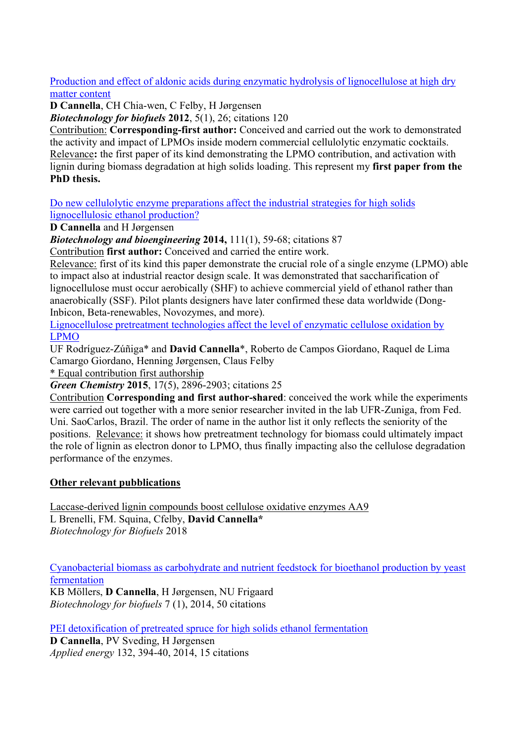Production and effect of aldonic acids during enzymatic hydrolysis of lignocellulose at high dry matter content

D Cannella, CH Chia-wen, C Felby, H Jørgensen

Biotechnology for biofuels 2012, 5(1), 26; citations 120

Contribution: Corresponding-first author: Conceived and carried out the work to demonstrated the activity and impact of LPMOs inside modern commercial cellulolytic enzymatic cocktails. Relevance: the first paper of its kind demonstrating the LPMO contribution, and activation with lignin during biomass degradation at high solids loading. This represent my first paper from the PhD thesis.

Do new cellulolytic enzyme preparations affect the industrial strategies for high solids lignocellulosic ethanol production?

D Cannella and H Jørgensen

Biotechnology and bioengineering 2014, 111(1), 59-68; citations 87

Contribution first author: Conceived and carried the entire work.

Relevance: first of its kind this paper demonstrate the crucial role of a single enzyme (LPMO) able to impact also at industrial reactor design scale. It was demonstrated that saccharification of lignocellulose must occur aerobically (SHF) to achieve commercial yield of ethanol rather than anaerobically (SSF). Pilot plants designers have later confirmed these data worldwide (Dong-Inbicon, Beta-renewables, Novozymes, and more).

Lignocellulose pretreatment technologies affect the level of enzymatic cellulose oxidation by LPMO

UF Rodríguez-Zúñiga\* and David Cannella\*, Roberto de Campos Giordano, Raquel de Lima Camargo Giordano, Henning Jørgensen, Claus Felby

\* Equal contribution first authorship

Green Chemistry 2015, 17(5), 2896-2903; citations 25

Contribution Corresponding and first author-shared: conceived the work while the experiments were carried out together with a more senior researcher invited in the lab UFR-Zuniga, from Fed. Uni. SaoCarlos, Brazil. The order of name in the author list it only reflects the seniority of the positions. Relevance: it shows how pretreatment technology for biomass could ultimately impact the role of lignin as electron donor to LPMO, thus finally impacting also the cellulose degradation performance of the enzymes.

## **Other relevant pubblications**

Laccase-derived lignin compounds boost cellulose oxidative enzymes AA9 L Brenelli, FM. Squina, Cfelby, David Cannella\* Biotechnology for Biofuels 2018

Cyanobacterial biomass as carbohydrate and nutrient feedstock for bioethanol production by yeast fermentation

KB Möllers, D Cannella, H Jørgensen, NU Frigaard Biotechnology for biofuels 7 (1), 2014, 50 citations

PEI detoxification of pretreated spruce for high solids ethanol fermentation

D Cannella, PV Sveding, H Jørgensen Applied energy 132, 394-40, 2014, 15 citations